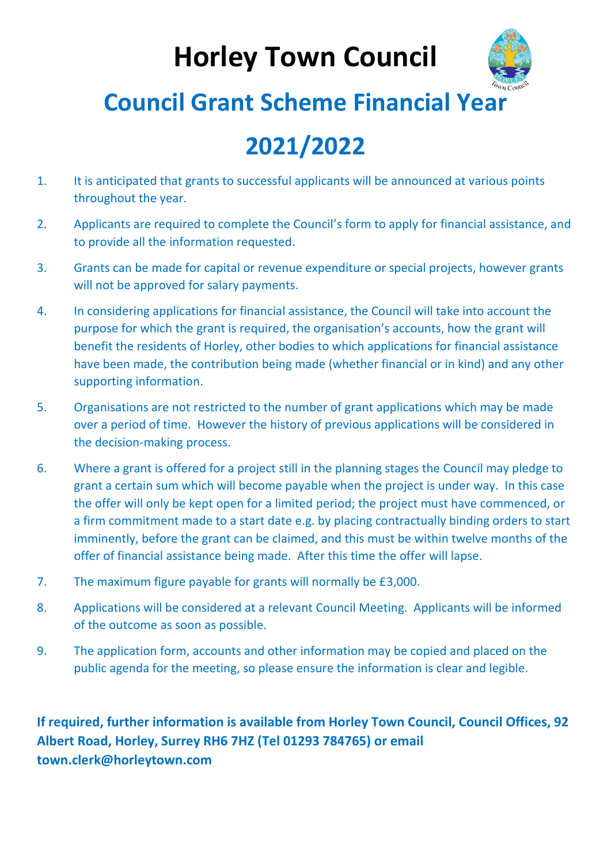# **Horley Town Council**



### **Council Grant Scheme Financial Year**

## **2021/2022**

- 1. It is anticipated that grants to successful applicants will be announced at various points throughout the year.
- 2. Applicants are required to complete the Council's form to apply for financial assistance, and to provide all the information requested.
- 3. Grants can be made for capital or revenue expenditure or special projects, however grants will not be approved for salary payments.
- 4. In considering applications for financial assistance, the Council will take into account the purpose for which the grant is required, the organisation's accounts, how the grant will benefit the residents of Horley, other bodies to which applications for financial assistance have been made, the contribution being made (whether financial or in kind) and any other supporting information.
- 5. Organisations are not restricted to the number of grant applications which may be made over a period of time. However the history of previous applications will be considered in the decision-making process.
- 6. Where a grant is offered for a project still in the planning stages the Council may pledge to grant a certain sum which will become payable when the project is under way. In this case the offer will only be kept open for a limited period; the project must have commenced, or a firm commitment made to a start date e.g. by placing contractually binding orders to start imminently, before the grant can be claimed, and this must be within twelve months of the offer of financial assistance being made. After this time the offer will lapse.
- 7. The maximum figure payable for grants will normally be £3,000.
- 8. Applications will be considered at a relevant Council Meeting. Applicants will be informed of the outcome as soon as possible.
- 9. The application form, accounts and other information may be copied and placed on the public agenda for the meeting, so please ensure the information is clear and legible.

**If required, further information is available from Horley Town Council, Council Offices, 92 Albert Road, Horley, Surrey RH6 7HZ (Tel 01293 784765) or email town.clerk@horleytown.com**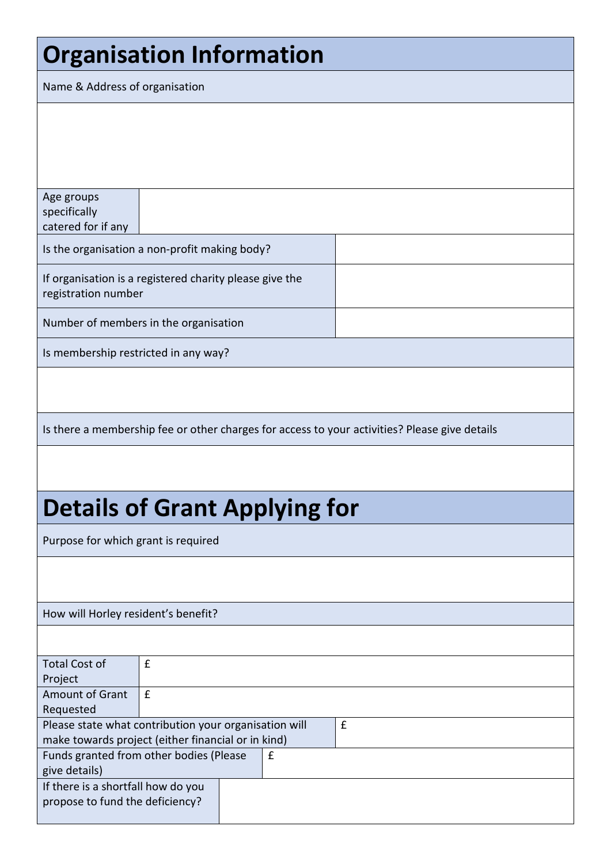# **Organisation Information**

Name & Address of organisation

Age groups specifically catered for if any Is the organisation a non-profit making body? If organisation is a registered charity please give the registration number Number of members in the organisation Is membership restricted in any way? Is there a membership fee or other charges for access to your activities? Please give details **Details of Grant Applying for** Purpose for which grant is required How will Horley resident's benefit?

| <b>Total Cost of</b>                                  | £ |  |   |   |
|-------------------------------------------------------|---|--|---|---|
| Project                                               |   |  |   |   |
| <b>Amount of Grant</b>                                | £ |  |   |   |
| Requested                                             |   |  |   |   |
| Please state what contribution your organisation will |   |  |   | £ |
| make towards project (either financial or in kind)    |   |  |   |   |
| Funds granted from other bodies (Please               |   |  | £ |   |
| give details)                                         |   |  |   |   |
| If there is a shortfall how do you                    |   |  |   |   |
| propose to fund the deficiency?                       |   |  |   |   |
|                                                       |   |  |   |   |